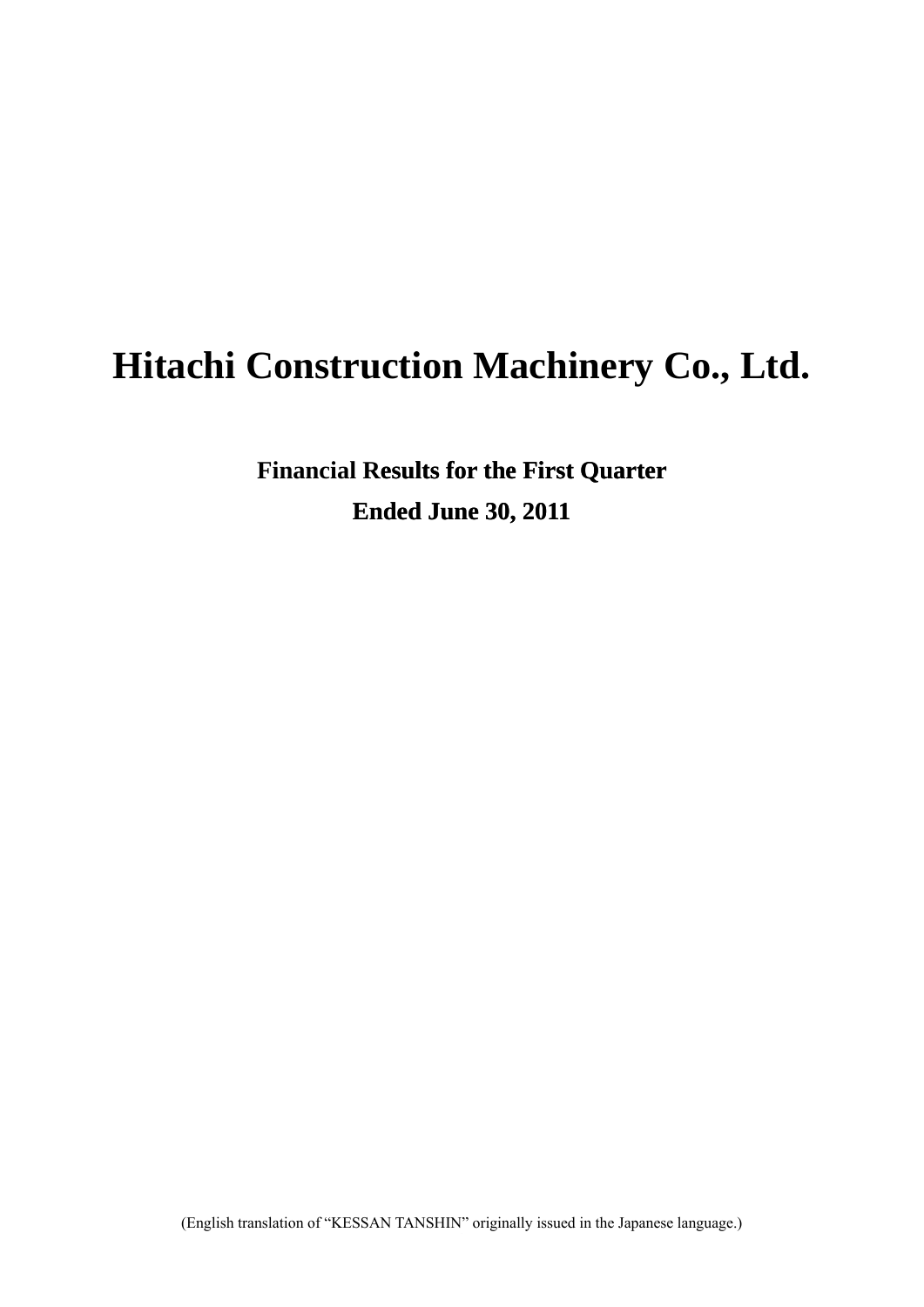# **Hitachi Construction Machinery Co., Ltd.**

**Financial Results for the First Quarter Ended June 30, 2011**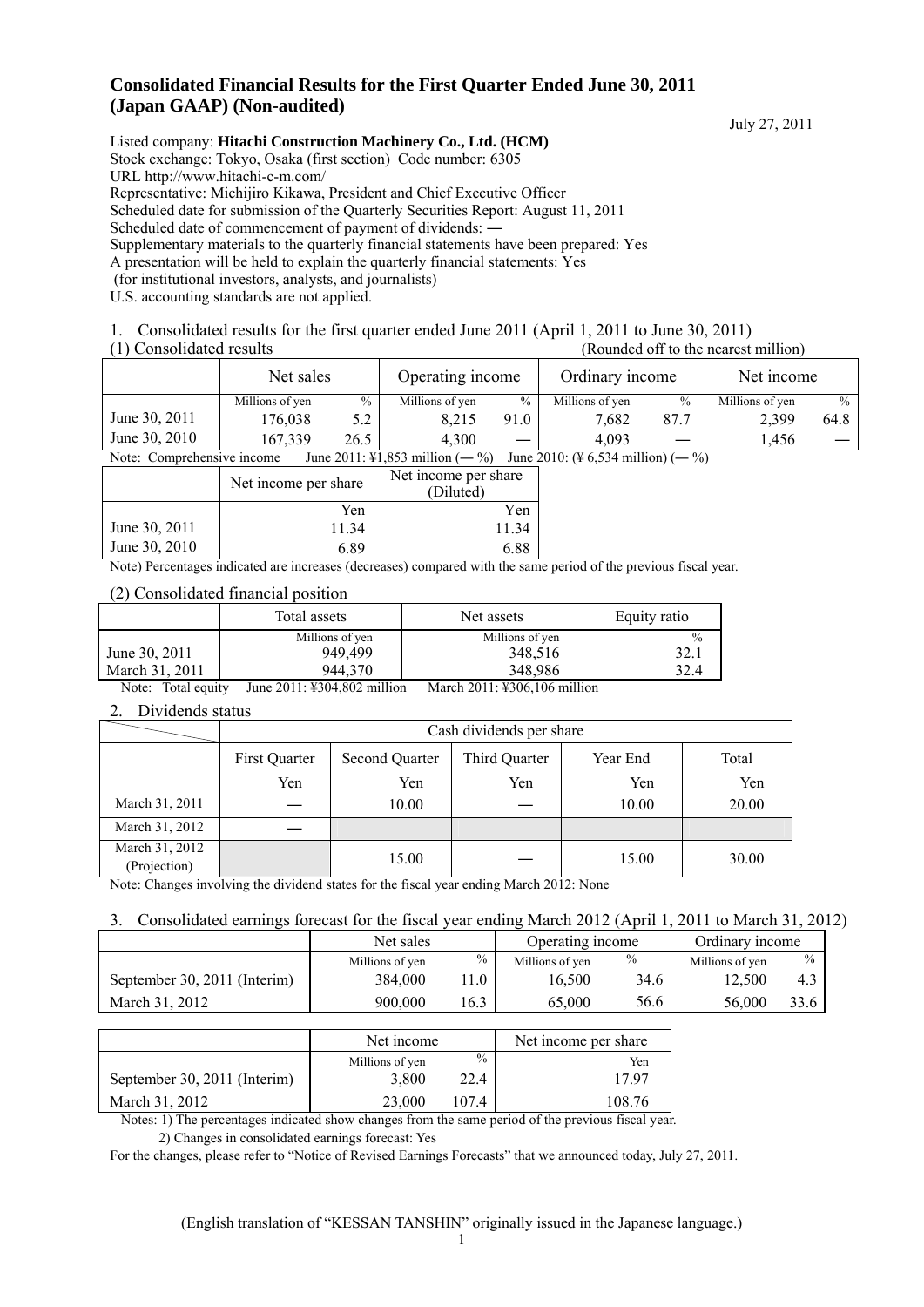# **Consolidated Financial Results for the First Quarter Ended June 30, 2011 (Japan GAAP) (Non-audited)**

July 27, 2011

Listed company: **Hitachi Construction Machinery Co., Ltd. (HCM)** Stock exchange: Tokyo, Osaka (first section) Code number: 6305 URL http://www.hitachi-c-m.com/ Representative: Michijiro Kikawa, President and Chief Executive Officer Scheduled date for submission of the Quarterly Securities Report: August 11, 2011 Scheduled date of commencement of payment of dividends:  $-$ Supplementary materials to the quarterly financial statements have been prepared: Yes A presentation will be held to explain the quarterly financial statements: Yes (for institutional investors, analysts, and journalists) U.S. accounting standards are not applied.

1. Consolidated results for the first quarter ended June 2011 (April 1, 2011 to June 30, 2011)

(1) Consolidated results (Rounded off to the nearest million)

|                            | Net sales       |      | Operating income                    |      | Ordinary income                                         |      | Net income      |               |
|----------------------------|-----------------|------|-------------------------------------|------|---------------------------------------------------------|------|-----------------|---------------|
|                            | Millions of yen | $\%$ | Millions of yen                     | $\%$ | Millions of yen                                         | $\%$ | Millions of yen | $\frac{0}{0}$ |
| June 30, 2011              | 176.038         | 5.2  | 8.215                               | 91.0 | 7.682                                                   | 87.7 | 2.399           | 64.8          |
| June 30, 2010              | 167.339         | 26.5 | 4.300                               |      | 4.093                                                   |      | 1.456           |               |
| Note: Comprehensive income |                 |      | June 2011: \\$1,853 million $(-\%)$ |      | June 2010: $(\frac{1}{2} 6, 534 \text{ million})$ (- %) |      |                 |               |

|               | Net income per share                                                                                                                                                                                                                                                                                        | Net income per share<br>(Diluted) |
|---------------|-------------------------------------------------------------------------------------------------------------------------------------------------------------------------------------------------------------------------------------------------------------------------------------------------------------|-----------------------------------|
|               | Yen                                                                                                                                                                                                                                                                                                         | Yen                               |
| June 30, 2011 | 11.34                                                                                                                                                                                                                                                                                                       | 11.34                             |
| June 30, 2010 | 6.89                                                                                                                                                                                                                                                                                                        | 6.88                              |
|               | $\mathbf{M}$ , $\mathbf{N}$ , $\mathbf{N}$ , $\mathbf{N}$ , $\mathbf{N}$ , $\mathbf{N}$ , $\mathbf{N}$ , $\mathbf{N}$ , $\mathbf{N}$ , $\mathbf{N}$ , $\mathbf{N}$ , $\mathbf{N}$ , $\mathbf{N}$ , $\mathbf{N}$ , $\mathbf{N}$ , $\mathbf{N}$ , $\mathbf{N}$ , $\mathbf{N}$ , $\mathbf{N}$ , $\mathbf{N}$ , | $1.1 \pm 1.1$                     |

Note) Percentages indicated are increases (decreases) compared with the same period of the previous fiscal year.

#### (2) Consolidated financial position

|                | Total assets    | Net assets      | Equity ratio  |
|----------------|-----------------|-----------------|---------------|
|                | Millions of yen | Millions of yen | $\frac{0}{0}$ |
| June 30, 2011  | 949.499         | 348,516         | 32.1          |
| March 31, 2011 | 944.370         | 348.986         | 32.4          |

Note: Total equity June 2011: ¥304,802 million March 2011: ¥306,106 million

#### 2. Dividends status

|                                | Cash dividends per share |                       |               |          |       |
|--------------------------------|--------------------------|-----------------------|---------------|----------|-------|
|                                | First Quarter            | <b>Second Quarter</b> | Third Quarter | Year End | Total |
|                                | Yen                      | Yen                   | Yen           | Yen      | Yen   |
| March 31, 2011                 |                          | 10.00                 |               | 10.00    | 20.00 |
| March 31, 2012                 |                          |                       |               |          |       |
| March 31, 2012<br>(Projection) |                          | 15.00                 |               | 15.00    | 30.00 |

Note: Changes involving the dividend states for the fiscal year ending March 2012: None

#### 3. Consolidated earnings forecast for the fiscal year ending March 2012 (April 1, 2011 to March 31, 2012)

|                              | Net sales       |      | Operating income |               | Ordinary income |      |
|------------------------------|-----------------|------|------------------|---------------|-----------------|------|
|                              | Millions of yen | %    | Millions of yen  | $\frac{0}{0}$ | Millions of yen | $\%$ |
| September 30, 2011 (Interim) | 384,000         | 1.0  | 16.500           | 34.6          | 12.500          | 4.3  |
| March 31, 2012               | 900,000         | 16.3 | 65.000           | 56.6          | 56,000          | 33.6 |

|                              | Net income      |               | Net income per share |
|------------------------------|-----------------|---------------|----------------------|
|                              | Millions of yen | $\frac{0}{0}$ | Yen                  |
| September 30, 2011 (Interim) | 3.800           | 22.4          | 17 97                |
| March 31, 2012               | 23,000          | 1074          | 108.76               |

Notes: 1) The percentages indicated show changes from the same period of the previous fiscal year.

2) Changes in consolidated earnings forecast: Yes

For the changes, please refer to "Notice of Revised Earnings Forecasts" that we announced today, July 27, 2011.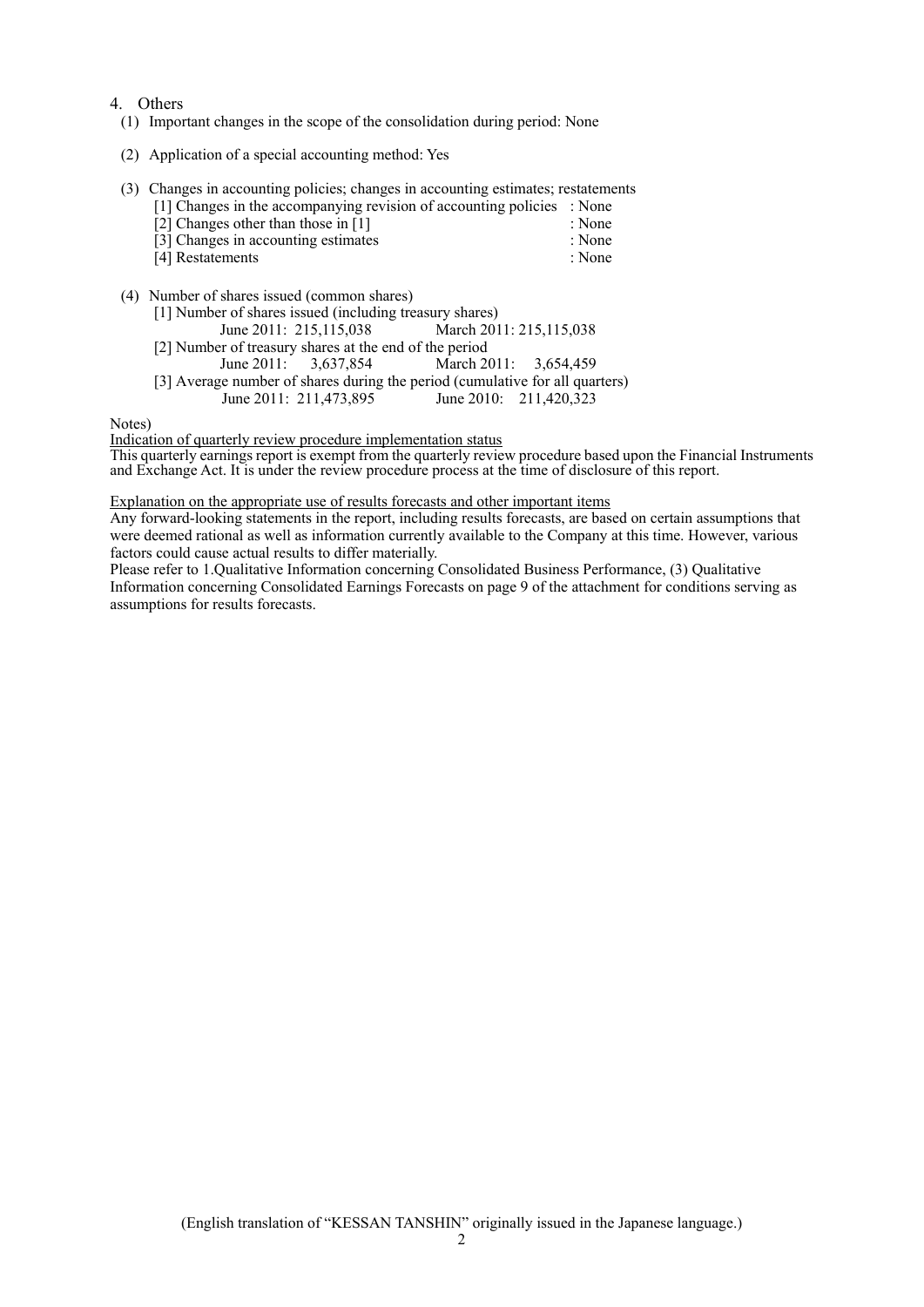#### 4. Others

- (1) Important changes in the scope of the consolidation during period: None
- (2) Application of a special accounting method: Yes
- (3) Changes in accounting policies; changes in accounting estimates; restatements

|                     |                                       |  | [1] Changes in the accompanying revision of accounting policies : None |        |
|---------------------|---------------------------------------|--|------------------------------------------------------------------------|--------|
|                     | [2] Changes other than those in $[1]$ |  |                                                                        | : None |
| $F \cap T$ $\cap T$ |                                       |  |                                                                        |        |

- [3] Changes in accounting estimates : None [4] Restatements : None
- (4) Number of shares issued (common shares)

| [1] Number of shares issued (including treasury shares) |                                                                              |
|---------------------------------------------------------|------------------------------------------------------------------------------|
| June 2011: 215,115,038                                  | March 2011: 215, 115, 038                                                    |
| [2] Number of treasury shares at the end of the period  |                                                                              |
| June 2011: $3,637,854$                                  | March 2011: 3.654.459                                                        |
|                                                         | [3] Average number of shares during the period (cumulative for all quarters) |
| June 2011: 211,473,895                                  | June 2010: 211,420,323                                                       |

Notes)

Indication of quarterly review procedure implementation status This quarterly earnings report is exempt from the quarterly review procedure based upon the Financial Instruments and Exchange Act. It is under the review procedure process at the time of disclosure of this report.

#### Explanation on the appropriate use of results forecasts and other important items

Any forward-looking statements in the report, including results forecasts, are based on certain assumptions that were deemed rational as well as information currently available to the Company at this time. However, various factors could cause actual results to differ materially.

Please refer to 1.Qualitative Information concerning Consolidated Business Performance, (3) Qualitative Information concerning Consolidated Earnings Forecasts on page 9 of the attachment for conditions serving as assumptions for results forecasts.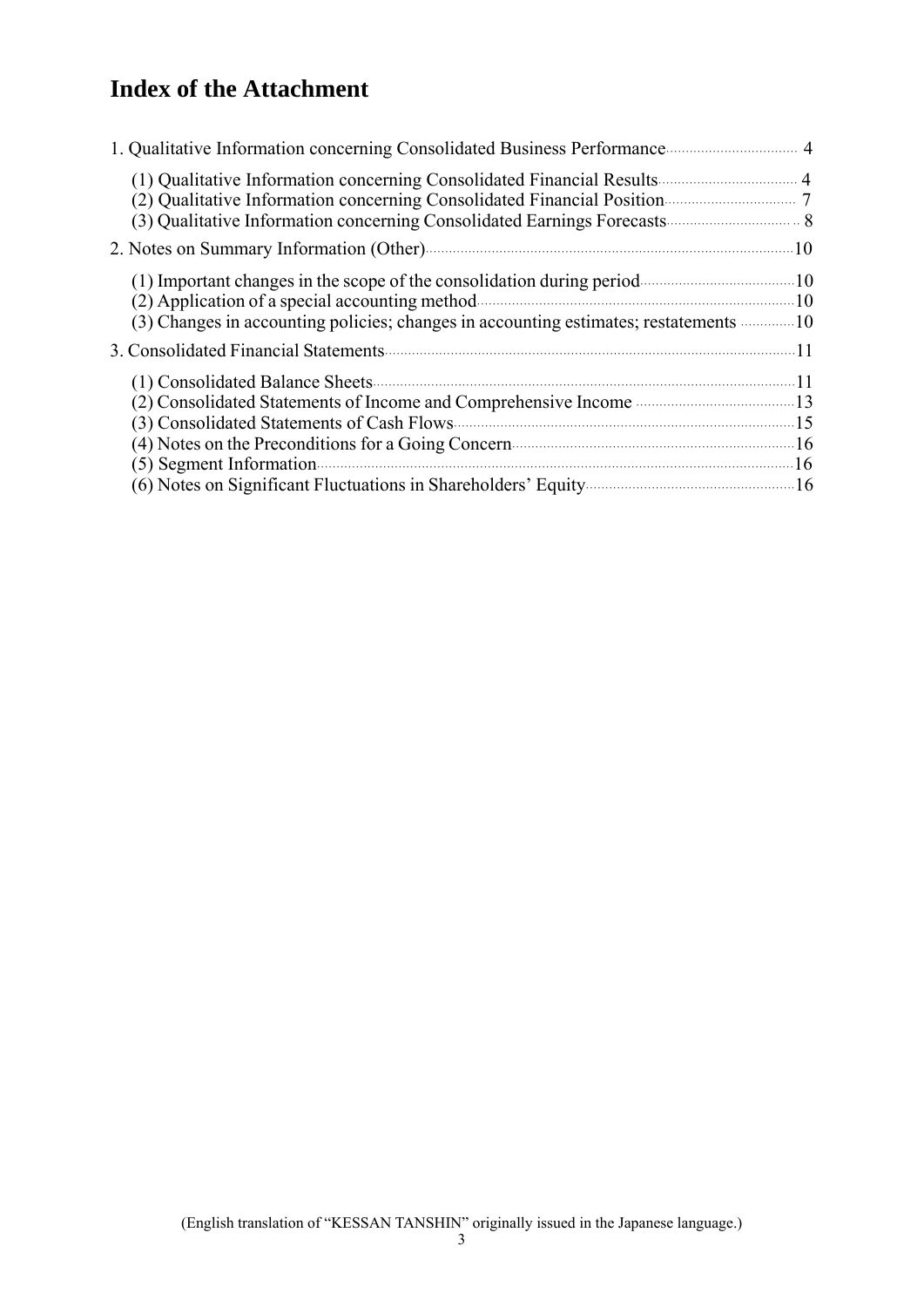# **Index of the Attachment**

| (2) Qualitative Information concerning Consolidated Financial Position                                                                   |  |
|------------------------------------------------------------------------------------------------------------------------------------------|--|
| 2. Notes on Summary Information (Other) manufactured and the set of the set of $10$                                                      |  |
|                                                                                                                                          |  |
|                                                                                                                                          |  |
| $(5)$ Segment Information<br>(6) Notes on Significant Fluctuations in Shareholders' Equity <b>Constant Contract Constant Constant</b> 16 |  |
|                                                                                                                                          |  |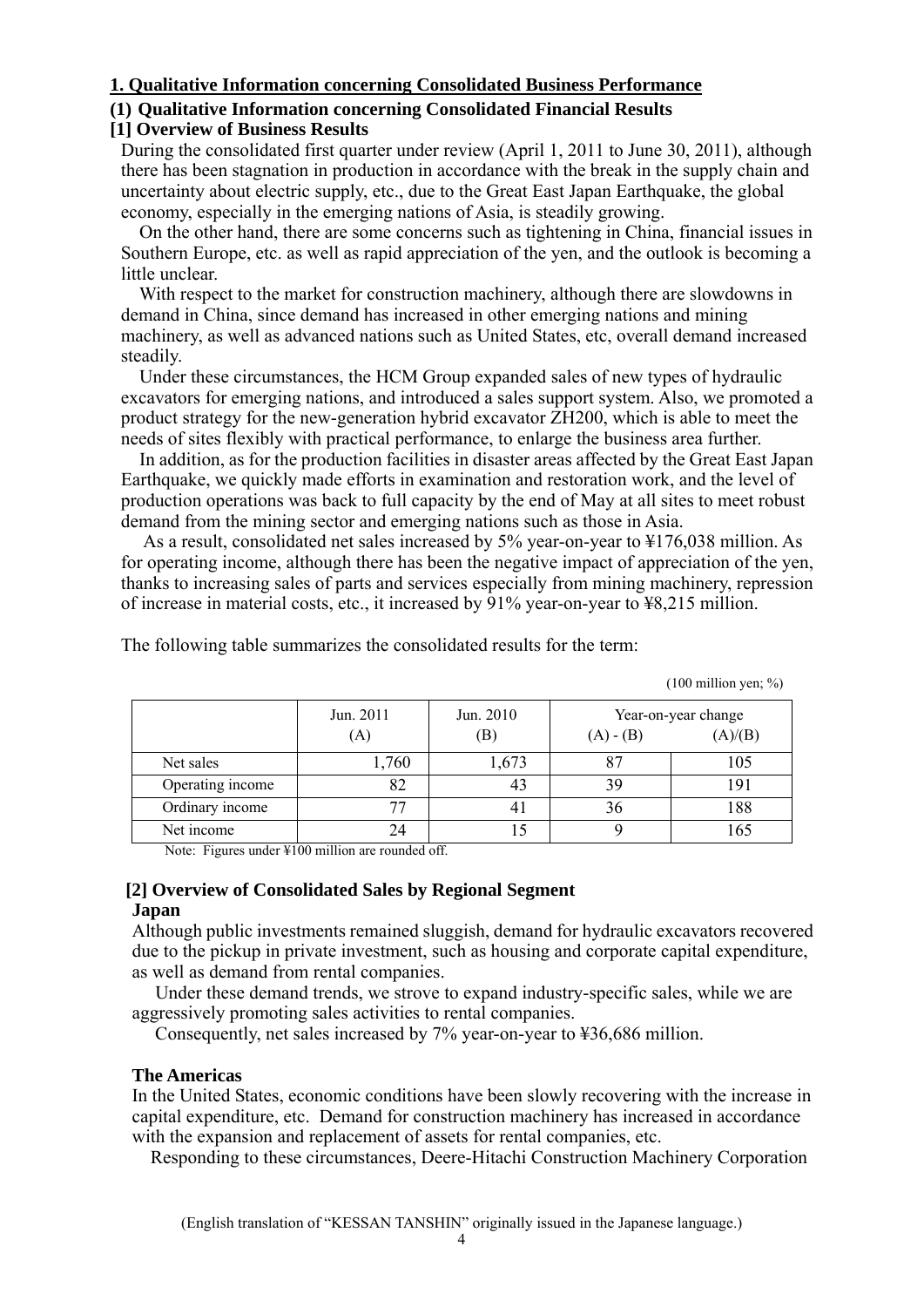# **1. Qualitative Information concerning Consolidated Business Performance**

# **(1) Qualitative Information concerning Consolidated Financial Results**

# **[1] Overview of Business Results**

During the consolidated first quarter under review (April 1, 2011 to June 30, 2011), although there has been stagnation in production in accordance with the break in the supply chain and uncertainty about electric supply, etc., due to the Great East Japan Earthquake, the global economy, especially in the emerging nations of Asia, is steadily growing.

 On the other hand, there are some concerns such as tightening in China, financial issues in Southern Europe, etc. as well as rapid appreciation of the yen, and the outlook is becoming a little unclear.

 With respect to the market for construction machinery, although there are slowdowns in demand in China, since demand has increased in other emerging nations and mining machinery, as well as advanced nations such as United States, etc, overall demand increased steadily.

 Under these circumstances, the HCM Group expanded sales of new types of hydraulic excavators for emerging nations, and introduced a sales support system. Also, we promoted a product strategy for the new-generation hybrid excavator ZH200, which is able to meet the needs of sites flexibly with practical performance, to enlarge the business area further.

 In addition, as for the production facilities in disaster areas affected by the Great East Japan Earthquake, we quickly made efforts in examination and restoration work, and the level of production operations was back to full capacity by the end of May at all sites to meet robust demand from the mining sector and emerging nations such as those in Asia.

 As a result, consolidated net sales increased by 5% year-on-year to ¥176,038 million. As for operating income, although there has been the negative impact of appreciation of the yen, thanks to increasing sales of parts and services especially from mining machinery, repression of increase in material costs, etc., it increased by 91% year-on-year to ¥8,215 million.

|                  | Jun. 2011 | Jun. 2010                  |                | Year-on-year change |
|------------------|-----------|----------------------------|----------------|---------------------|
|                  | (A)       | $\left( \mathrm{B}\right)$ | $(A) - (B)$    | (A)/(B)             |
| Net sales        | 1,760     | 1,673                      | 8 <sup>7</sup> | 105                 |
| Operating income | 82        | 43                         | 39             | 191                 |
| Ordinary income  | 77        |                            | 36             | 188                 |
| Net income       | 24        |                            |                | 165                 |

The following table summarizes the consolidated results for the term:

 $(100 \text{ million yen}; \%)$ 

Note: Figures under ¥100 million are rounded off.

#### **[2] Overview of Consolidated Sales by Regional Segment Japan**

Although public investments remained sluggish, demand for hydraulic excavators recovered due to the pickup in private investment, such as housing and corporate capital expenditure, as well as demand from rental companies.

 Under these demand trends, we strove to expand industry-specific sales, while we are aggressively promoting sales activities to rental companies.

Consequently, net sales increased by 7% year-on-year to ¥36,686 million.

# **The Americas**

In the United States, economic conditions have been slowly recovering with the increase in capital expenditure, etc. Demand for construction machinery has increased in accordance with the expansion and replacement of assets for rental companies, etc.

Responding to these circumstances, Deere-Hitachi Construction Machinery Corporation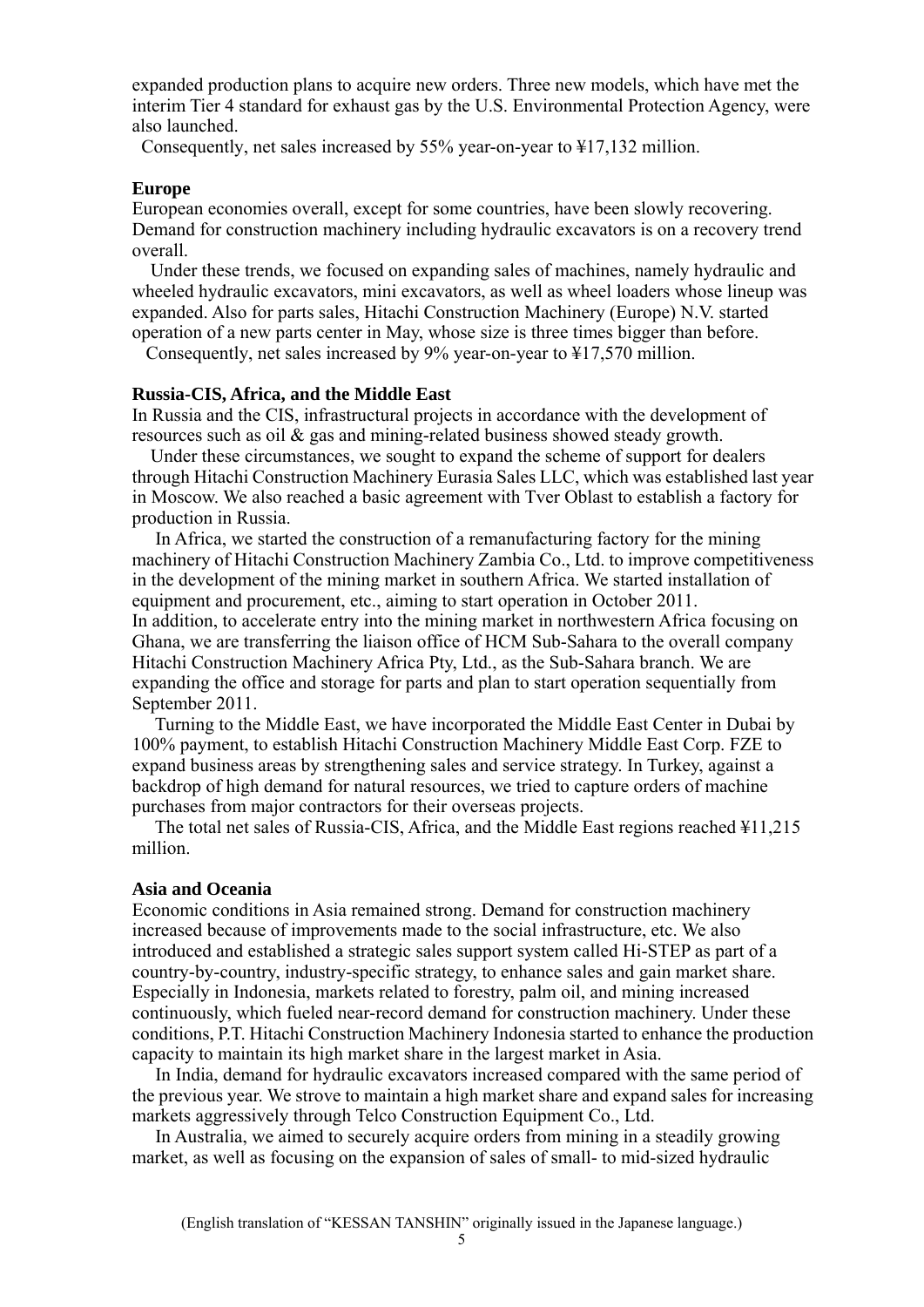expanded production plans to acquire new orders. Three new models, which have met the interim Tier 4 standard for exhaust gas by the U.S. Environmental Protection Agency, were also launched.

Consequently, net sales increased by 55% year-on-year to ¥17,132 million.

#### **Europe**

European economies overall, except for some countries, have been slowly recovering. Demand for construction machinery including hydraulic excavators is on a recovery trend overall.

 Under these trends, we focused on expanding sales of machines, namely hydraulic and wheeled hydraulic excavators, mini excavators, as well as wheel loaders whose lineup was expanded. Also for parts sales, Hitachi Construction Machinery (Europe) N.V. started operation of a new parts center in May, whose size is three times bigger than before.

Consequently, net sales increased by 9% year-on-year to ¥17,570 million.

#### **Russia-CIS, Africa, and the Middle East**

In Russia and the CIS, infrastructural projects in accordance with the development of resources such as oil & gas and mining-related business showed steady growth.

 Under these circumstances, we sought to expand the scheme of support for dealers through Hitachi Construction Machinery Eurasia Sales LLC, which was established last year in Moscow. We also reached a basic agreement with Tver Oblast to establish a factory for production in Russia.

 In Africa, we started the construction of a remanufacturing factory for the mining machinery of Hitachi Construction Machinery Zambia Co., Ltd. to improve competitiveness in the development of the mining market in southern Africa. We started installation of equipment and procurement, etc., aiming to start operation in October 2011. In addition, to accelerate entry into the mining market in northwestern Africa focusing on Ghana, we are transferring the liaison office of HCM Sub-Sahara to the overall company Hitachi Construction Machinery Africa Pty, Ltd., as the Sub-Sahara branch. We are expanding the office and storage for parts and plan to start operation sequentially from September 2011.

 Turning to the Middle East, we have incorporated the Middle East Center in Dubai by 100% payment, to establish Hitachi Construction Machinery Middle East Corp. FZE to expand business areas by strengthening sales and service strategy. In Turkey, against a backdrop of high demand for natural resources, we tried to capture orders of machine purchases from major contractors for their overseas projects.

 The total net sales of Russia-CIS, Africa, and the Middle East regions reached ¥11,215 million.

#### **Asia and Oceania**

Economic conditions in Asia remained strong. Demand for construction machinery increased because of improvements made to the social infrastructure, etc. We also introduced and established a strategic sales support system called Hi-STEP as part of a country-by-country, industry-specific strategy, to enhance sales and gain market share. Especially in Indonesia, markets related to forestry, palm oil, and mining increased continuously, which fueled near-record demand for construction machinery. Under these conditions, P.T. Hitachi Construction Machinery Indonesia started to enhance the production capacity to maintain its high market share in the largest market in Asia.

 In India, demand for hydraulic excavators increased compared with the same period of the previous year. We strove to maintain a high market share and expand sales for increasing markets aggressively through Telco Construction Equipment Co., Ltd.

 In Australia, we aimed to securely acquire orders from mining in a steadily growing market, as well as focusing on the expansion of sales of small- to mid-sized hydraulic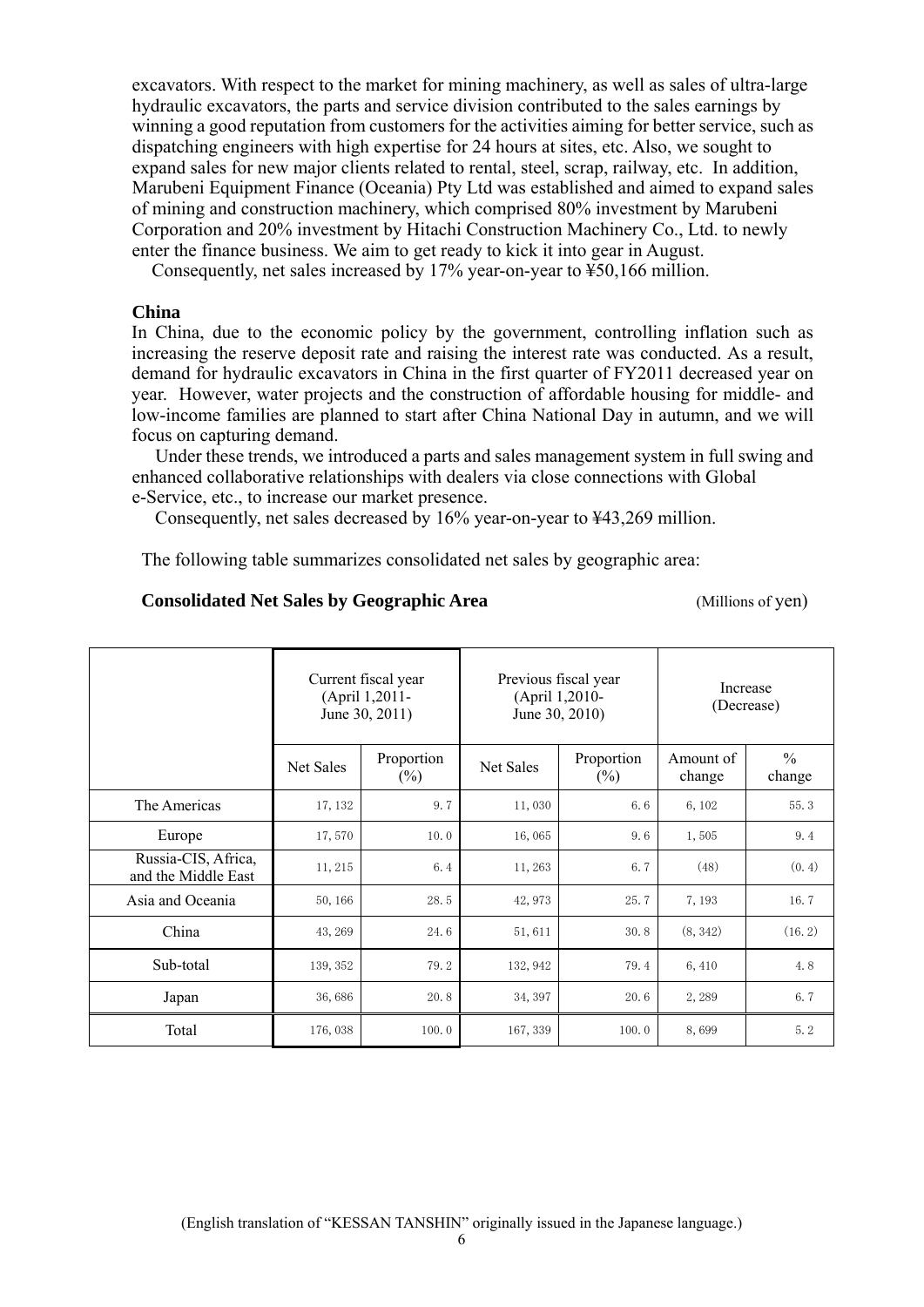excavators. With respect to the market for mining machinery, as well as sales of ultra-large hydraulic excavators, the parts and service division contributed to the sales earnings by winning a good reputation from customers for the activities aiming for better service, such as dispatching engineers with high expertise for 24 hours at sites, etc. Also, we sought to expand sales for new major clients related to rental, steel, scrap, railway, etc. In addition, Marubeni Equipment Finance (Oceania) Pty Ltd was established and aimed to expand sales of mining and construction machinery, which comprised 80% investment by Marubeni Corporation and 20% investment by Hitachi Construction Machinery Co., Ltd. to newly enter the finance business. We aim to get ready to kick it into gear in August.

Consequently, net sales increased by 17% year-on-year to ¥50,166 million.

#### **China**

In China, due to the economic policy by the government, controlling inflation such as increasing the reserve deposit rate and raising the interest rate was conducted. As a result, demand for hydraulic excavators in China in the first quarter of FY2011 decreased year on year. However, water projects and the construction of affordable housing for middle- and low-income families are planned to start after China National Day in autumn, and we will focus on capturing demand.

 Under these trends, we introduced a parts and sales management system in full swing and enhanced collaborative relationships with dealers via close connections with Global e-Service, etc., to increase our market presence.

Consequently, net sales decreased by 16% year-on-year to ¥43,269 million.

The following table summarizes consolidated net sales by geographic area:

#### **Consolidated Net Sales by Geographic Area** (Millions of yen)

|                                            | Current fiscal year<br>(April 1,2011-<br>June 30, 2011) |                      | Previous fiscal year<br>(April 1,2010-<br>June 30, 2010) |                      | Increase<br>(Decrease) |                         |
|--------------------------------------------|---------------------------------------------------------|----------------------|----------------------------------------------------------|----------------------|------------------------|-------------------------|
|                                            | Net Sales                                               | Proportion<br>$(\%)$ | Net Sales                                                | Proportion<br>$(\%)$ | Amount of<br>change    | $\frac{0}{0}$<br>change |
| The Americas                               | 17, 132                                                 | 9.7                  | 11,030                                                   | 6.6                  | 6,102                  | 55.3                    |
| Europe                                     | 17,570                                                  | 10.0                 | 16,065                                                   | 9.6                  | 1,505                  | 9.4                     |
| Russia-CIS, Africa,<br>and the Middle East | 11, 215                                                 | 6.4                  | 11, 263                                                  | 6.7                  | (48)                   | (0, 4)                  |
| Asia and Oceania                           | 50, 166                                                 | 28.5                 | 42, 973                                                  | 25.7                 | 7,193                  | 16.7                    |
| China                                      | 43, 269                                                 | 24.6                 | 51,611                                                   | 30.8                 | (8, 342)               | (16.2)                  |
| Sub-total                                  | 139, 352                                                | 79.2                 | 132, 942                                                 | 79.4                 | 6,410                  | 4.8                     |
| Japan                                      | 36,686                                                  | 20.8                 | 34, 397                                                  | 20.6                 | 2,289                  | 6.7                     |
| Total                                      | 176,038                                                 | 100.0                | 167, 339                                                 | 100.0                | 8,699                  | 5.2                     |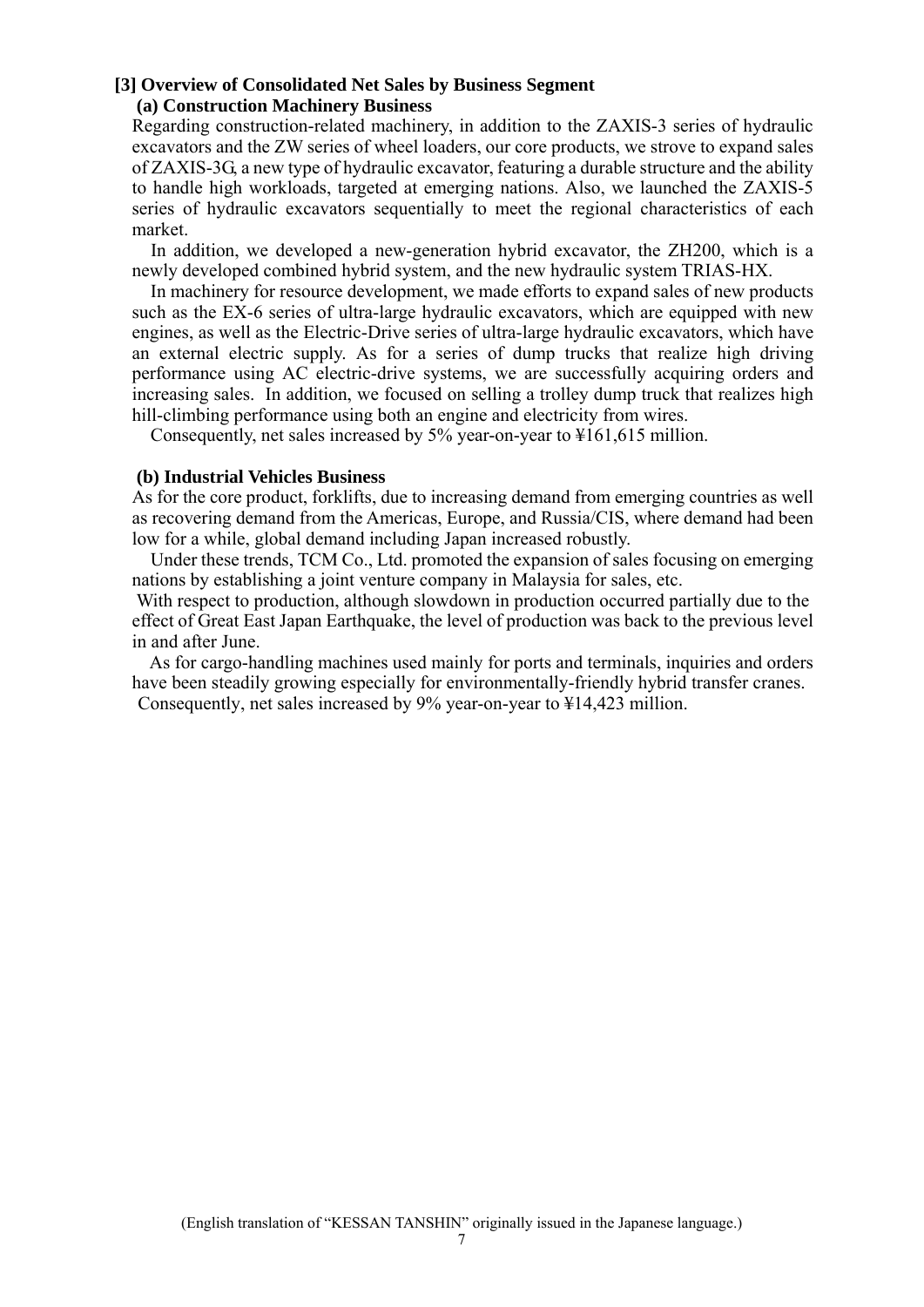#### **[3] Overview of Consolidated Net Sales by Business Segment (a) Construction Machinery Business**

Regarding construction-related machinery, in addition to the ZAXIS-3 series of hydraulic excavators and the ZW series of wheel loaders, our core products, we strove to expand sales of ZAXIS-3G, a new type of hydraulic excavator, featuring a durable structure and the ability to handle high workloads, targeted at emerging nations. Also, we launched the ZAXIS-5 series of hydraulic excavators sequentially to meet the regional characteristics of each market.

 In addition, we developed a new-generation hybrid excavator, the ZH200, which is a newly developed combined hybrid system, and the new hydraulic system TRIAS-HX.

 In machinery for resource development, we made efforts to expand sales of new products such as the EX-6 series of ultra-large hydraulic excavators, which are equipped with new engines, as well as the Electric-Drive series of ultra-large hydraulic excavators, which have an external electric supply. As for a series of dump trucks that realize high driving performance using AC electric-drive systems, we are successfully acquiring orders and increasing sales. In addition, we focused on selling a trolley dump truck that realizes high hill-climbing performance using both an engine and electricity from wires.

Consequently, net sales increased by 5% year-on-year to ¥161,615 million.

#### **(b) Industrial Vehicles Business**

As for the core product, forklifts, due to increasing demand from emerging countries as well as recovering demand from the Americas, Europe, and Russia/CIS, where demand had been low for a while, global demand including Japan increased robustly.

 Under these trends, TCM Co., Ltd. promoted the expansion of sales focusing on emerging nations by establishing a joint venture company in Malaysia for sales, etc.

 With respect to production, although slowdown in production occurred partially due to the effect of Great East Japan Earthquake, the level of production was back to the previous level in and after June.

 As for cargo-handling machines used mainly for ports and terminals, inquiries and orders have been steadily growing especially for environmentally-friendly hybrid transfer cranes. Consequently, net sales increased by 9% year-on-year to ¥14,423 million.

7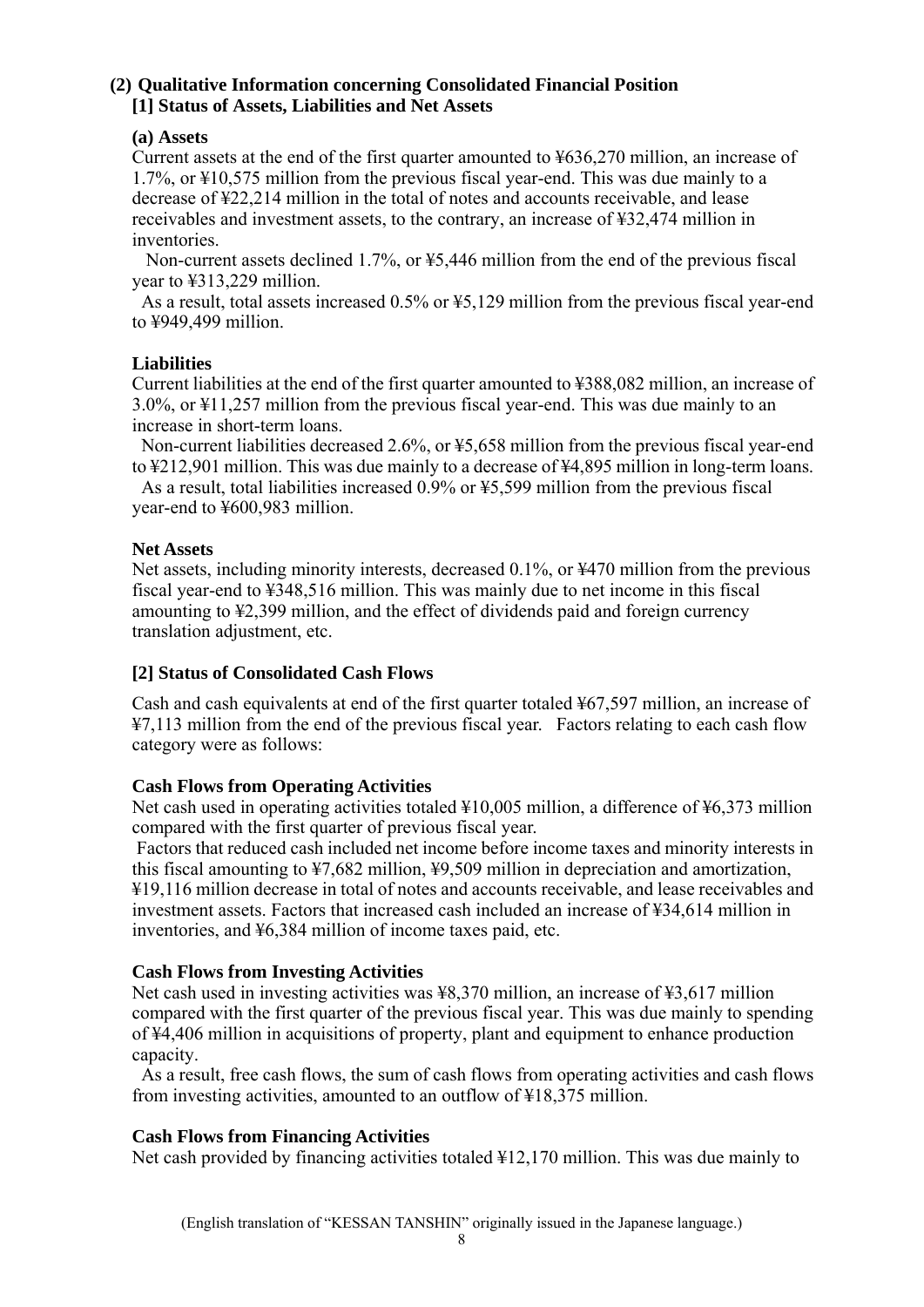# **(2) Qualitative Information concerning Consolidated Financial Position [1] Status of Assets, Liabilities and Net Assets**

# **(a) Assets**

Current assets at the end of the first quarter amounted to ¥636,270 million, an increase of 1.7%, or ¥10,575 million from the previous fiscal year-end. This was due mainly to a decrease of ¥22,214 million in the total of notes and accounts receivable, and lease receivables and investment assets, to the contrary, an increase of ¥32,474 million in inventories.

 Non-current assets declined 1.7%, or ¥5,446 million from the end of the previous fiscal year to ¥313,229 million.

As a result, total assets increased 0.5% or ¥5,129 million from the previous fiscal year-end to ¥949,499 million.

# **Liabilities**

Current liabilities at the end of the first quarter amounted to ¥388,082 million, an increase of 3.0%, or ¥11,257 million from the previous fiscal year-end. This was due mainly to an increase in short-term loans.

Non-current liabilities decreased 2.6%, or ¥5,658 million from the previous fiscal year-end to ¥212,901 million. This was due mainly to a decrease of ¥4,895 million in long-term loans.

As a result, total liabilities increased 0.9% or ¥5,599 million from the previous fiscal year-end to ¥600,983 million.

# **Net Assets**

Net assets, including minority interests, decreased 0.1%, or ¥470 million from the previous fiscal year-end to ¥348,516 million. This was mainly due to net income in this fiscal amounting to ¥2,399 million, and the effect of dividends paid and foreign currency translation adjustment, etc.

# **[2] Status of Consolidated Cash Flows**

Cash and cash equivalents at end of the first quarter totaled ¥67,597 million, an increase of ¥7,113 million from the end of the previous fiscal year. Factors relating to each cash flow category were as follows:

# **Cash Flows from Operating Activities**

Net cash used in operating activities totaled ¥10,005 million, a difference of ¥6,373 million compared with the first quarter of previous fiscal year.

 Factors that reduced cash included net income before income taxes and minority interests in this fiscal amounting to ¥7,682 million, ¥9,509 million in depreciation and amortization, ¥19,116 million decrease in total of notes and accounts receivable, and lease receivables and investment assets. Factors that increased cash included an increase of ¥34,614 million in inventories, and ¥6,384 million of income taxes paid, etc.

# **Cash Flows from Investing Activities**

Net cash used in investing activities was ¥8,370 million, an increase of ¥3,617 million compared with the first quarter of the previous fiscal year. This was due mainly to spending of ¥4,406 million in acquisitions of property, plant and equipment to enhance production capacity.

As a result, free cash flows, the sum of cash flows from operating activities and cash flows from investing activities, amounted to an outflow of ¥18,375 million.

# **Cash Flows from Financing Activities**

Net cash provided by financing activities totaled ¥12,170 million. This was due mainly to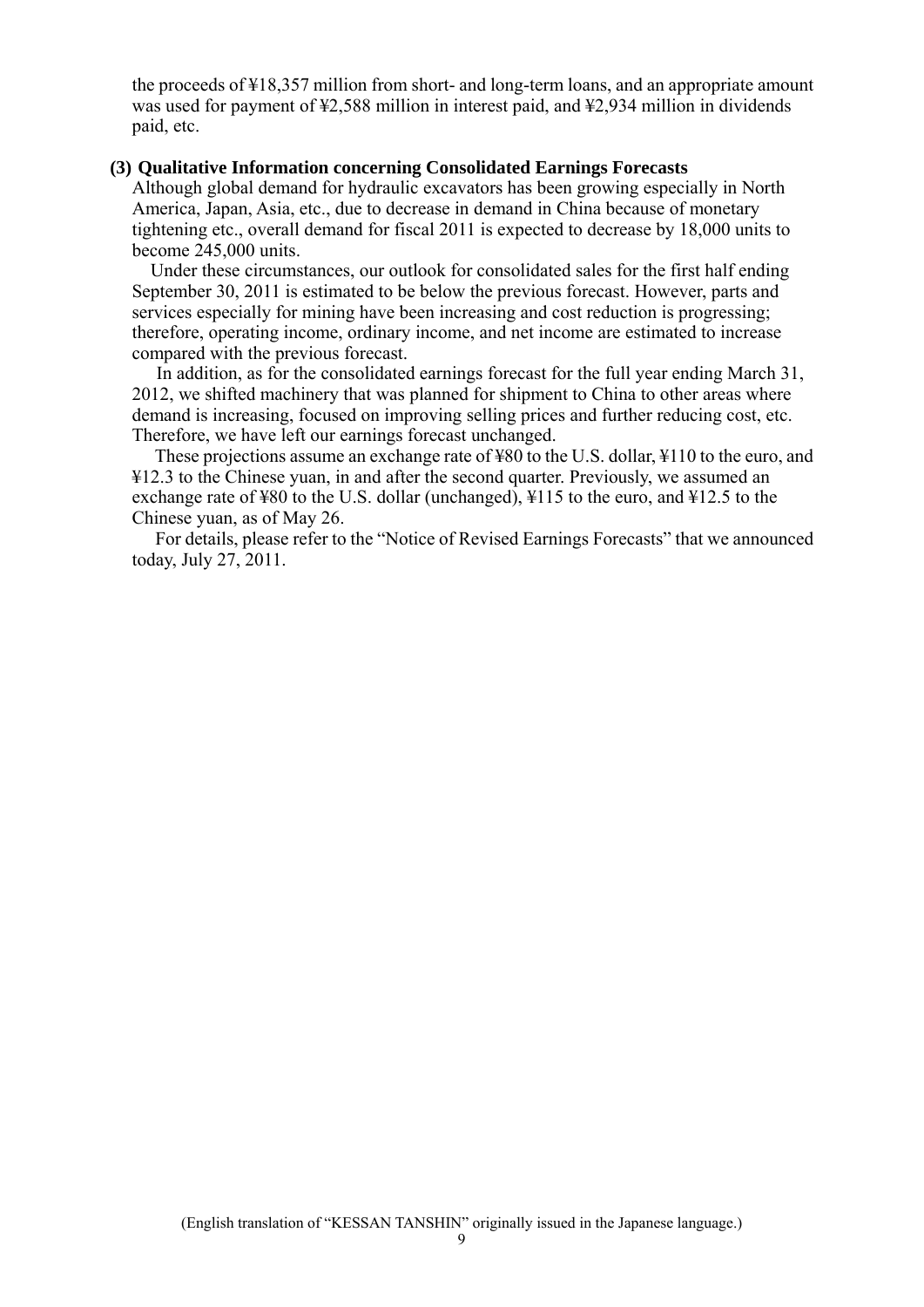the proceeds of ¥18,357 million from short- and long-term loans, and an appropriate amount was used for payment of ¥2,588 million in interest paid, and ¥2,934 million in dividends paid, etc.

#### **(3) Qualitative Information concerning Consolidated Earnings Forecasts**

Although global demand for hydraulic excavators has been growing especially in North America, Japan, Asia, etc., due to decrease in demand in China because of monetary tightening etc., overall demand for fiscal 2011 is expected to decrease by 18,000 units to become 245,000 units.

 Under these circumstances, our outlook for consolidated sales for the first half ending September 30, 2011 is estimated to be below the previous forecast. However, parts and services especially for mining have been increasing and cost reduction is progressing; therefore, operating income, ordinary income, and net income are estimated to increase compared with the previous forecast.

 In addition, as for the consolidated earnings forecast for the full year ending March 31, 2012, we shifted machinery that was planned for shipment to China to other areas where demand is increasing, focused on improving selling prices and further reducing cost, etc. Therefore, we have left our earnings forecast unchanged.

These projections assume an exchange rate of ¥80 to the U.S. dollar, ¥110 to the euro, and ¥12.3 to the Chinese yuan, in and after the second quarter. Previously, we assumed an exchange rate of ¥80 to the U.S. dollar (unchanged), ¥115 to the euro, and ¥12.5 to the Chinese yuan, as of May 26.

 For details, please refer to the "Notice of Revised Earnings Forecasts" that we announced today, July 27, 2011.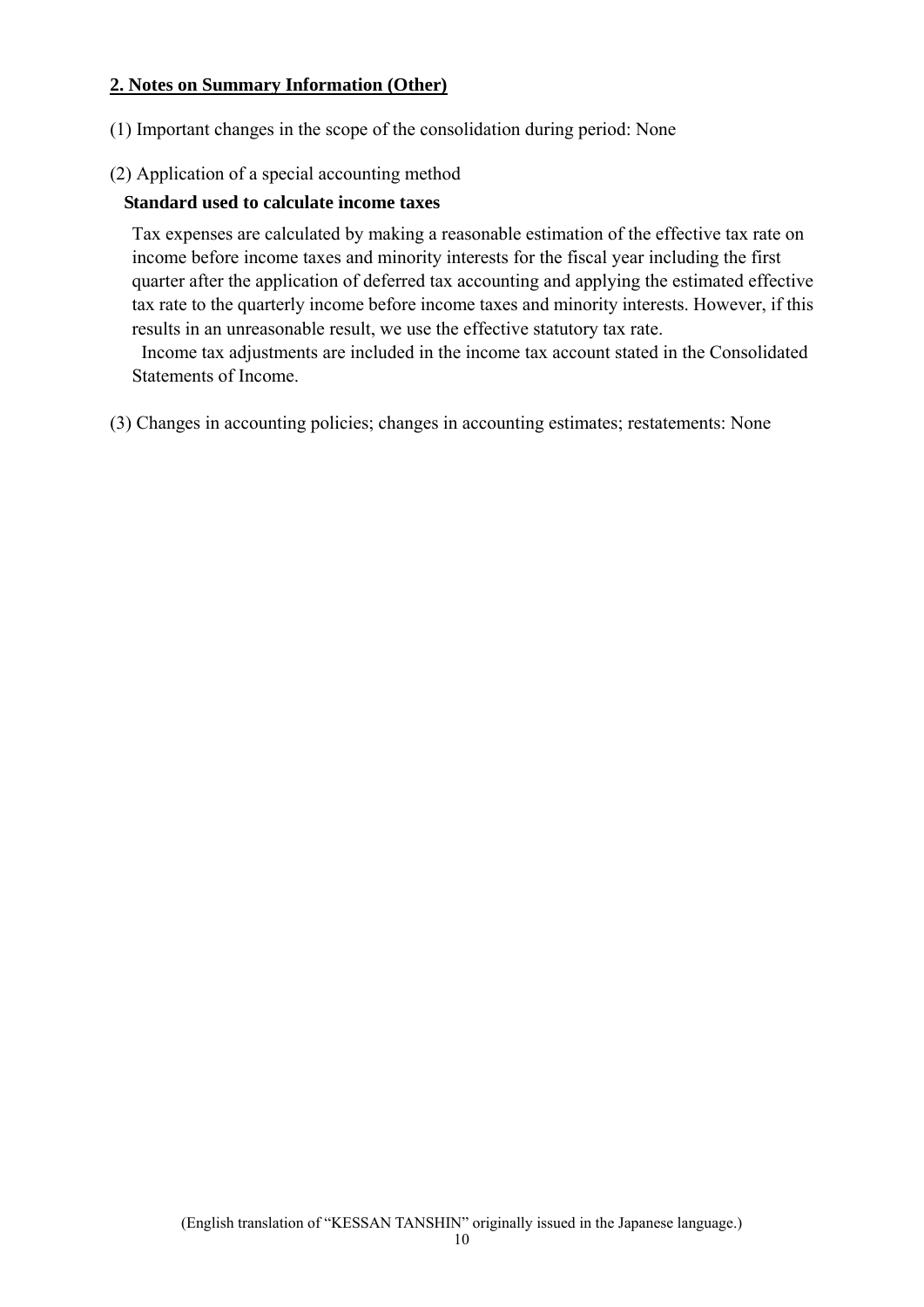# **2. Notes on Summary Information (Other)**

(1) Important changes in the scope of the consolidation during period: None

# (2) Application of a special accounting method

# **Standard used to calculate income taxes**

Tax expenses are calculated by making a reasonable estimation of the effective tax rate on income before income taxes and minority interests for the fiscal year including the first quarter after the application of deferred tax accounting and applying the estimated effective tax rate to the quarterly income before income taxes and minority interests. However, if this results in an unreasonable result, we use the effective statutory tax rate.

 Income tax adjustments are included in the income tax account stated in the Consolidated Statements of Income.

(3) Changes in accounting policies; changes in accounting estimates; restatements: None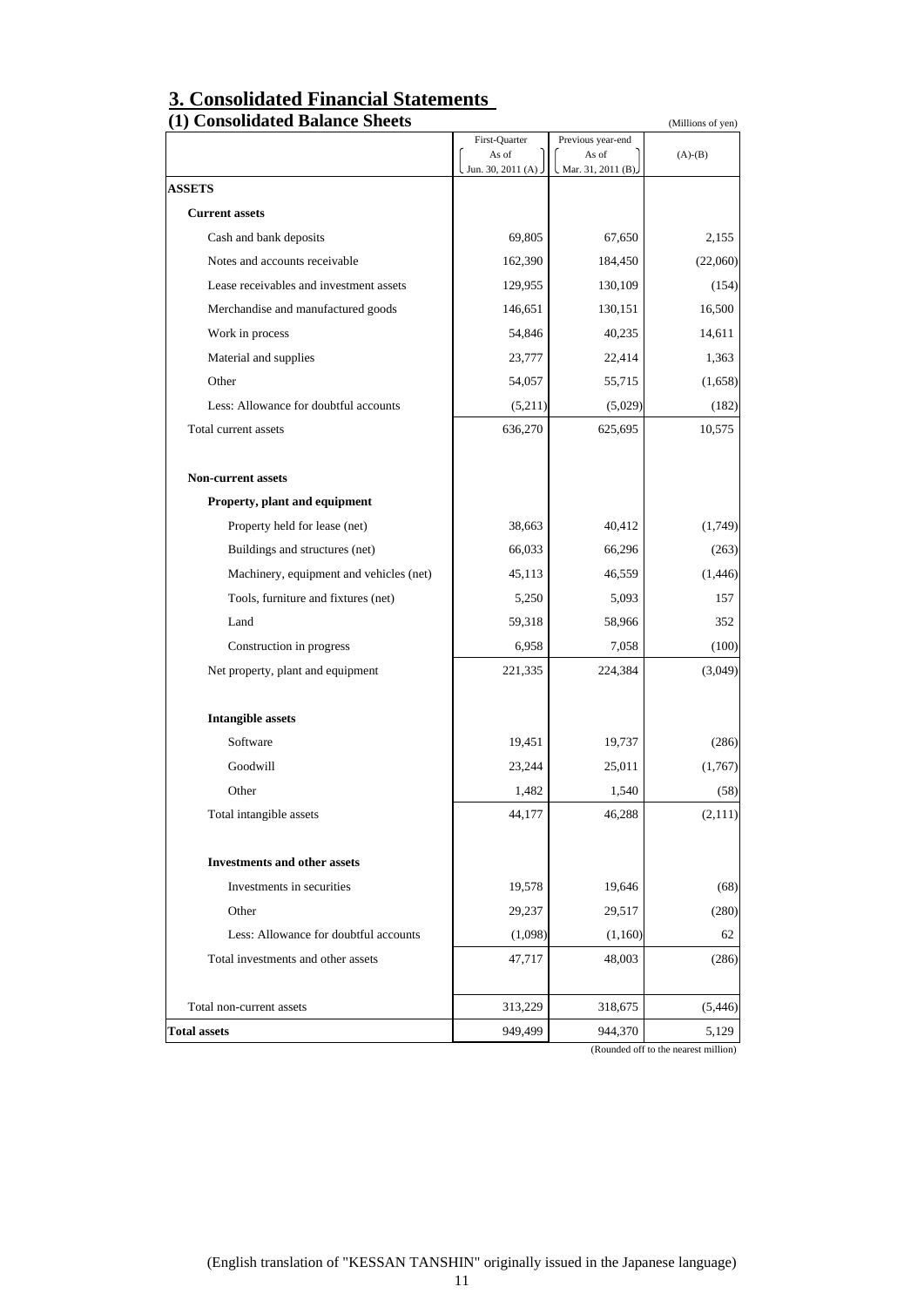# **3. Consolidated Financial Statements**

| First-Quarter<br>As of<br>Jun. 30, 2011 (A)<br><b>ASSETS</b><br><b>Current assets</b><br>Cash and bank deposits<br>Notes and accounts receivable<br>Lease receivables and investment assets<br>Merchandise and manufactured goods<br>Work in process<br>Material and supplies<br>Other<br>Less: Allowance for doubtful accounts<br>Total current assets<br><b>Non-current assets</b><br>Property, plant and equipment<br>Property held for lease (net)<br>Buildings and structures (net)<br>Machinery, equipment and vehicles (net)<br>Tools, furniture and fixtures (net)<br>Land<br>Construction in progress<br>Net property, plant and equipment<br><b>Intangible assets</b><br>Software | 69,805<br>162,390<br>129,955<br>146,651<br>54,846<br>23,777<br>54,057<br>(5,211)<br>636,270<br>38,663<br>66,033 | Previous year-end<br>As of<br>Mar. 31, 2011 (B).<br>67,650<br>184,450<br>130,109<br>130,151<br>40,235<br>22,414<br>55,715<br>(5,029)<br>625,695<br>40,412<br>66,296 | $(A)-(B)$<br>2,155<br>(22,060)<br>(154)<br>16,500<br>14,611<br>1,363<br>(1,658)<br>(182)<br>10,575<br>(1,749)<br>(263) |
|---------------------------------------------------------------------------------------------------------------------------------------------------------------------------------------------------------------------------------------------------------------------------------------------------------------------------------------------------------------------------------------------------------------------------------------------------------------------------------------------------------------------------------------------------------------------------------------------------------------------------------------------------------------------------------------------|-----------------------------------------------------------------------------------------------------------------|---------------------------------------------------------------------------------------------------------------------------------------------------------------------|------------------------------------------------------------------------------------------------------------------------|
|                                                                                                                                                                                                                                                                                                                                                                                                                                                                                                                                                                                                                                                                                             |                                                                                                                 |                                                                                                                                                                     |                                                                                                                        |
|                                                                                                                                                                                                                                                                                                                                                                                                                                                                                                                                                                                                                                                                                             |                                                                                                                 |                                                                                                                                                                     |                                                                                                                        |
|                                                                                                                                                                                                                                                                                                                                                                                                                                                                                                                                                                                                                                                                                             |                                                                                                                 |                                                                                                                                                                     |                                                                                                                        |
|                                                                                                                                                                                                                                                                                                                                                                                                                                                                                                                                                                                                                                                                                             |                                                                                                                 |                                                                                                                                                                     |                                                                                                                        |
|                                                                                                                                                                                                                                                                                                                                                                                                                                                                                                                                                                                                                                                                                             |                                                                                                                 |                                                                                                                                                                     |                                                                                                                        |
|                                                                                                                                                                                                                                                                                                                                                                                                                                                                                                                                                                                                                                                                                             |                                                                                                                 |                                                                                                                                                                     |                                                                                                                        |
|                                                                                                                                                                                                                                                                                                                                                                                                                                                                                                                                                                                                                                                                                             |                                                                                                                 |                                                                                                                                                                     |                                                                                                                        |
|                                                                                                                                                                                                                                                                                                                                                                                                                                                                                                                                                                                                                                                                                             |                                                                                                                 |                                                                                                                                                                     |                                                                                                                        |
|                                                                                                                                                                                                                                                                                                                                                                                                                                                                                                                                                                                                                                                                                             |                                                                                                                 |                                                                                                                                                                     |                                                                                                                        |
|                                                                                                                                                                                                                                                                                                                                                                                                                                                                                                                                                                                                                                                                                             |                                                                                                                 |                                                                                                                                                                     |                                                                                                                        |
|                                                                                                                                                                                                                                                                                                                                                                                                                                                                                                                                                                                                                                                                                             |                                                                                                                 |                                                                                                                                                                     |                                                                                                                        |
|                                                                                                                                                                                                                                                                                                                                                                                                                                                                                                                                                                                                                                                                                             |                                                                                                                 |                                                                                                                                                                     |                                                                                                                        |
|                                                                                                                                                                                                                                                                                                                                                                                                                                                                                                                                                                                                                                                                                             |                                                                                                                 |                                                                                                                                                                     |                                                                                                                        |
|                                                                                                                                                                                                                                                                                                                                                                                                                                                                                                                                                                                                                                                                                             |                                                                                                                 |                                                                                                                                                                     |                                                                                                                        |
|                                                                                                                                                                                                                                                                                                                                                                                                                                                                                                                                                                                                                                                                                             |                                                                                                                 |                                                                                                                                                                     |                                                                                                                        |
|                                                                                                                                                                                                                                                                                                                                                                                                                                                                                                                                                                                                                                                                                             |                                                                                                                 |                                                                                                                                                                     |                                                                                                                        |
|                                                                                                                                                                                                                                                                                                                                                                                                                                                                                                                                                                                                                                                                                             |                                                                                                                 |                                                                                                                                                                     |                                                                                                                        |
|                                                                                                                                                                                                                                                                                                                                                                                                                                                                                                                                                                                                                                                                                             | 45,113                                                                                                          | 46,559                                                                                                                                                              | (1,446)                                                                                                                |
|                                                                                                                                                                                                                                                                                                                                                                                                                                                                                                                                                                                                                                                                                             | 5,250                                                                                                           | 5,093                                                                                                                                                               | 157                                                                                                                    |
|                                                                                                                                                                                                                                                                                                                                                                                                                                                                                                                                                                                                                                                                                             | 59,318                                                                                                          | 58,966                                                                                                                                                              | 352                                                                                                                    |
|                                                                                                                                                                                                                                                                                                                                                                                                                                                                                                                                                                                                                                                                                             | 6,958                                                                                                           | 7,058                                                                                                                                                               | (100)                                                                                                                  |
|                                                                                                                                                                                                                                                                                                                                                                                                                                                                                                                                                                                                                                                                                             | 221,335                                                                                                         | 224,384                                                                                                                                                             | (3,049)                                                                                                                |
|                                                                                                                                                                                                                                                                                                                                                                                                                                                                                                                                                                                                                                                                                             |                                                                                                                 |                                                                                                                                                                     |                                                                                                                        |
|                                                                                                                                                                                                                                                                                                                                                                                                                                                                                                                                                                                                                                                                                             | 19,451                                                                                                          | 19,737                                                                                                                                                              | (286)                                                                                                                  |
| Goodwill                                                                                                                                                                                                                                                                                                                                                                                                                                                                                                                                                                                                                                                                                    | 23,244                                                                                                          | 25,011                                                                                                                                                              | (1,767)                                                                                                                |
| Other                                                                                                                                                                                                                                                                                                                                                                                                                                                                                                                                                                                                                                                                                       | 1,482                                                                                                           | 1,540                                                                                                                                                               | (58)                                                                                                                   |
| Total intangible assets                                                                                                                                                                                                                                                                                                                                                                                                                                                                                                                                                                                                                                                                     | 44,177                                                                                                          | 46,288                                                                                                                                                              | (2,111)                                                                                                                |
| <b>Investments and other assets</b>                                                                                                                                                                                                                                                                                                                                                                                                                                                                                                                                                                                                                                                         |                                                                                                                 |                                                                                                                                                                     |                                                                                                                        |
| Investments in securities                                                                                                                                                                                                                                                                                                                                                                                                                                                                                                                                                                                                                                                                   | 19,578                                                                                                          | 19,646                                                                                                                                                              | (68)                                                                                                                   |
| Other                                                                                                                                                                                                                                                                                                                                                                                                                                                                                                                                                                                                                                                                                       | 29,237                                                                                                          | 29,517                                                                                                                                                              | (280)                                                                                                                  |
| Less: Allowance for doubtful accounts                                                                                                                                                                                                                                                                                                                                                                                                                                                                                                                                                                                                                                                       | (1,098)                                                                                                         | (1,160)                                                                                                                                                             | 62                                                                                                                     |
| Total investments and other assets                                                                                                                                                                                                                                                                                                                                                                                                                                                                                                                                                                                                                                                          | 47,717                                                                                                          | 48,003                                                                                                                                                              | (286)                                                                                                                  |
| Total non-current assets                                                                                                                                                                                                                                                                                                                                                                                                                                                                                                                                                                                                                                                                    |                                                                                                                 |                                                                                                                                                                     | (5, 446)                                                                                                               |
| 949,499<br><b>Total assets</b>                                                                                                                                                                                                                                                                                                                                                                                                                                                                                                                                                                                                                                                              | 313,229                                                                                                         | 318,675                                                                                                                                                             | 5,129                                                                                                                  |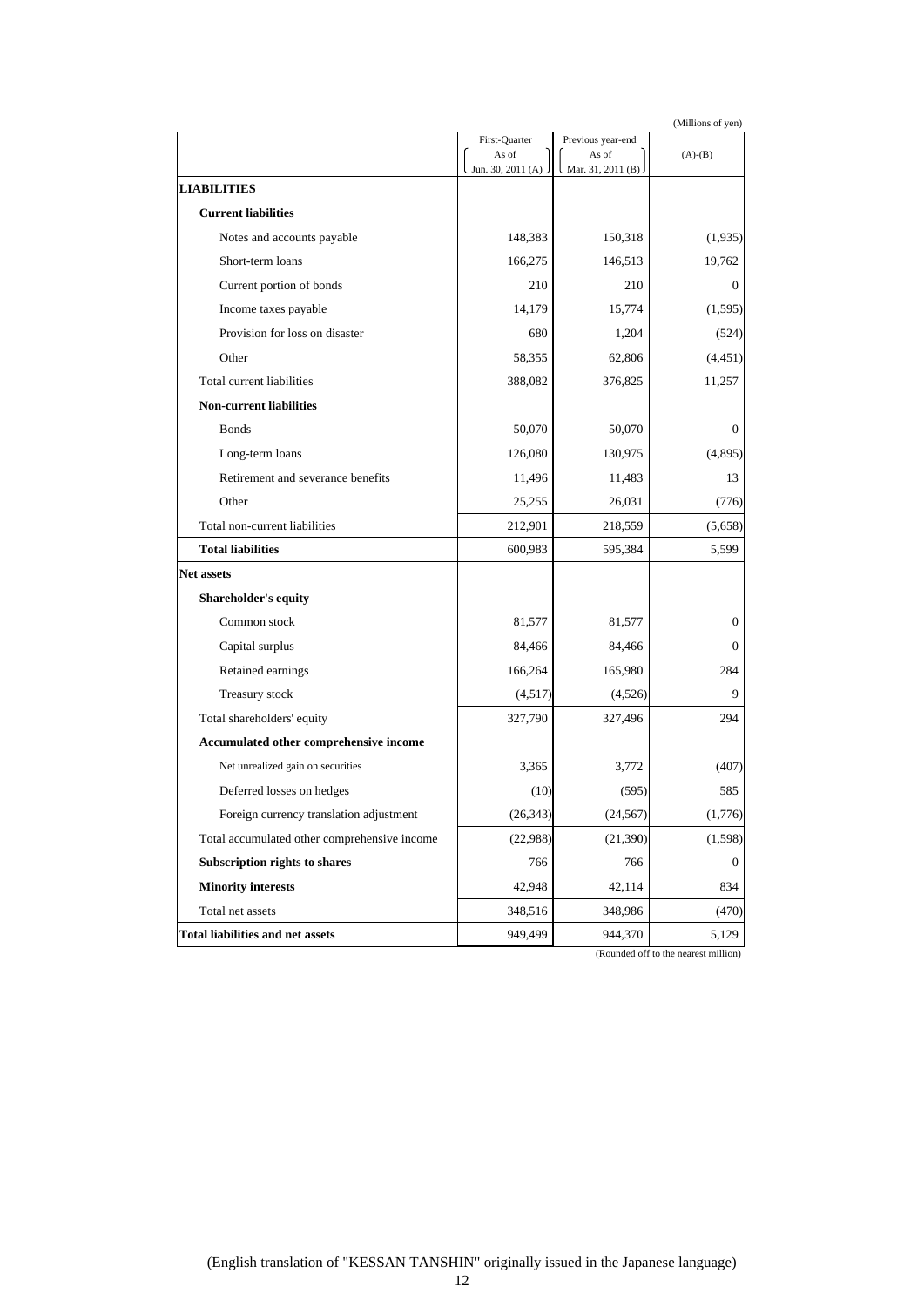|                                              | (Millions of yen)      |                            |              |
|----------------------------------------------|------------------------|----------------------------|--------------|
|                                              | First-Quarter<br>As of | Previous year-end<br>As of | $(A)-(B)$    |
|                                              | Jun. 30, 2011 (A).     | Mar. 31, 2011 (B).         |              |
| <b>LIABILITIES</b>                           |                        |                            |              |
| <b>Current liabilities</b>                   |                        |                            |              |
| Notes and accounts payable                   | 148,383                | 150,318                    | (1,935)      |
| Short-term loans                             | 166,275                | 146,513                    | 19,762       |
| Current portion of bonds                     | 210                    | 210                        | $\mathbf{0}$ |
| Income taxes payable                         | 14,179                 | 15,774                     | (1, 595)     |
| Provision for loss on disaster               | 680                    | 1,204                      | (524)        |
| Other                                        | 58,355                 | 62,806                     | (4,451)      |
| Total current liabilities                    | 388,082                | 376,825                    | 11,257       |
| <b>Non-current liabilities</b>               |                        |                            |              |
| <b>Bonds</b>                                 | 50,070                 | 50,070                     | $\mathbf{0}$ |
| Long-term loans                              | 126,080                | 130,975                    | (4,895)      |
| Retirement and severance benefits            | 11,496                 | 11,483                     | 13           |
| Other                                        | 25,255                 | 26,031                     | (776)        |
| Total non-current liabilities                | 212,901                | 218,559                    | (5,658)      |
| <b>Total liabilities</b>                     | 600,983                | 595,384                    | 5,599        |
| <b>Net assets</b>                            |                        |                            |              |
| <b>Shareholder's equity</b>                  |                        |                            |              |
| Common stock                                 | 81,577                 | 81,577                     | $\mathbf{0}$ |
| Capital surplus                              | 84,466                 | 84,466                     | $\Omega$     |
| Retained earnings                            | 166,264                | 165,980                    | 284          |
| Treasury stock                               | (4,517)                | (4,526)                    | 9            |
| Total shareholders' equity                   | 327,790                | 327,496                    | 294          |
| Accumulated other comprehensive income       |                        |                            |              |
| Net unrealized gain on securities            | 3,365                  | 3,772                      | (407)        |
| Deferred losses on hedges                    | (10)                   | (595)                      | 585          |
| Foreign currency translation adjustment      | (26, 343)              | (24, 567)                  | (1,776)      |
| Total accumulated other comprehensive income | (22,988)               | (21, 390)                  | (1, 598)     |
| Subscription rights to shares                | 766                    | 766                        | 0            |
| <b>Minority interests</b>                    | 42,948                 | 42,114                     | 834          |
| Total net assets                             | 348,516                | 348,986                    | (470)        |
| Total liabilities and net assets             | 949,499                | 944,370                    | 5,129        |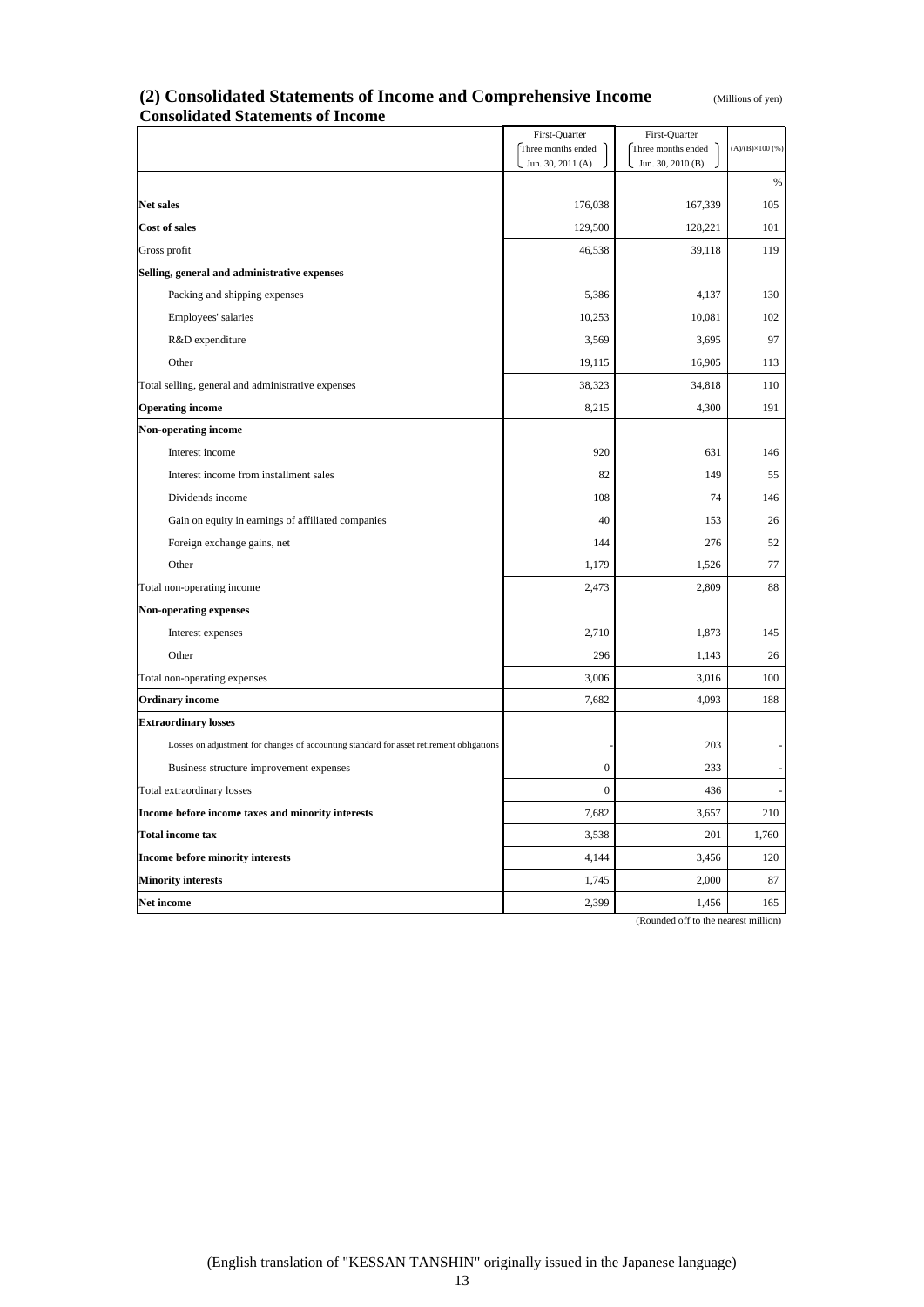| (Millions of yen) |  |
|-------------------|--|
|-------------------|--|

# (2) Consolidated Statements of Income and Comprehensive Income **Consolidated Statements of Income**

|                                                                                          | First-Quarter      | First-Quarter      |                        |
|------------------------------------------------------------------------------------------|--------------------|--------------------|------------------------|
|                                                                                          | Three months ended | Three months ended | $(A)/(B)\times 100(%)$ |
|                                                                                          | Jun. 30, 2011 (A)  | Jun. 30, 2010 (B)  |                        |
| Net sales                                                                                | 176,038            | 167,339            | $\%$<br>105            |
|                                                                                          |                    |                    |                        |
| Cost of sales                                                                            | 129,500            | 128,221            | 101                    |
| Gross profit                                                                             | 46,538             | 39,118             | 119                    |
| Selling, general and administrative expenses                                             |                    |                    |                        |
| Packing and shipping expenses                                                            | 5,386              | 4,137              | 130                    |
| Employees' salaries                                                                      | 10,253             | 10,081             | 102                    |
| R&D expenditure                                                                          | 3,569              | 3,695              | 97                     |
| Other                                                                                    | 19,115             | 16,905             | 113                    |
| Total selling, general and administrative expenses                                       | 38,323             | 34,818             | 110                    |
| <b>Operating income</b>                                                                  | 8,215              | 4,300              | 191                    |
| <b>Non-operating income</b>                                                              |                    |                    |                        |
| Interest income                                                                          | 920                | 631                | 146                    |
| Interest income from installment sales                                                   | 82                 | 149                | 55                     |
| Dividends income                                                                         | 108                | 74                 | 146                    |
| Gain on equity in earnings of affiliated companies                                       | 40                 | 153                | 26                     |
| Foreign exchange gains, net                                                              | 144                | 276                | 52                     |
| Other                                                                                    | 1,179              | 1,526              | 77                     |
| Total non-operating income                                                               | 2,473              | 2,809              | 88                     |
| Non-operating expenses                                                                   |                    |                    |                        |
| Interest expenses                                                                        | 2,710              | 1,873              | 145                    |
| Other                                                                                    | 296                | 1,143              | 26                     |
| Total non-operating expenses                                                             | 3,006              | 3,016              | 100                    |
| <b>Ordinary income</b>                                                                   | 7,682              | 4,093              | 188                    |
| <b>Extraordinary losses</b>                                                              |                    |                    |                        |
| Losses on adjustment for changes of accounting standard for asset retirement obligations |                    | 203                |                        |
| Business structure improvement expenses                                                  | $\boldsymbol{0}$   | 233                |                        |
| Total extraordinary losses                                                               | $\boldsymbol{0}$   | 436                |                        |
| Income before income taxes and minority interests                                        | 7,682              | 3,657              | 210                    |
| <b>Total income tax</b>                                                                  | 3,538              | 201                | 1,760                  |
| <b>Income before minority interests</b>                                                  | 4,144              | 3,456              | 120                    |
| <b>Minority interests</b>                                                                | 1,745              | 2,000              | 87                     |
| Net income                                                                               | 2,399              | 1,456              | 165                    |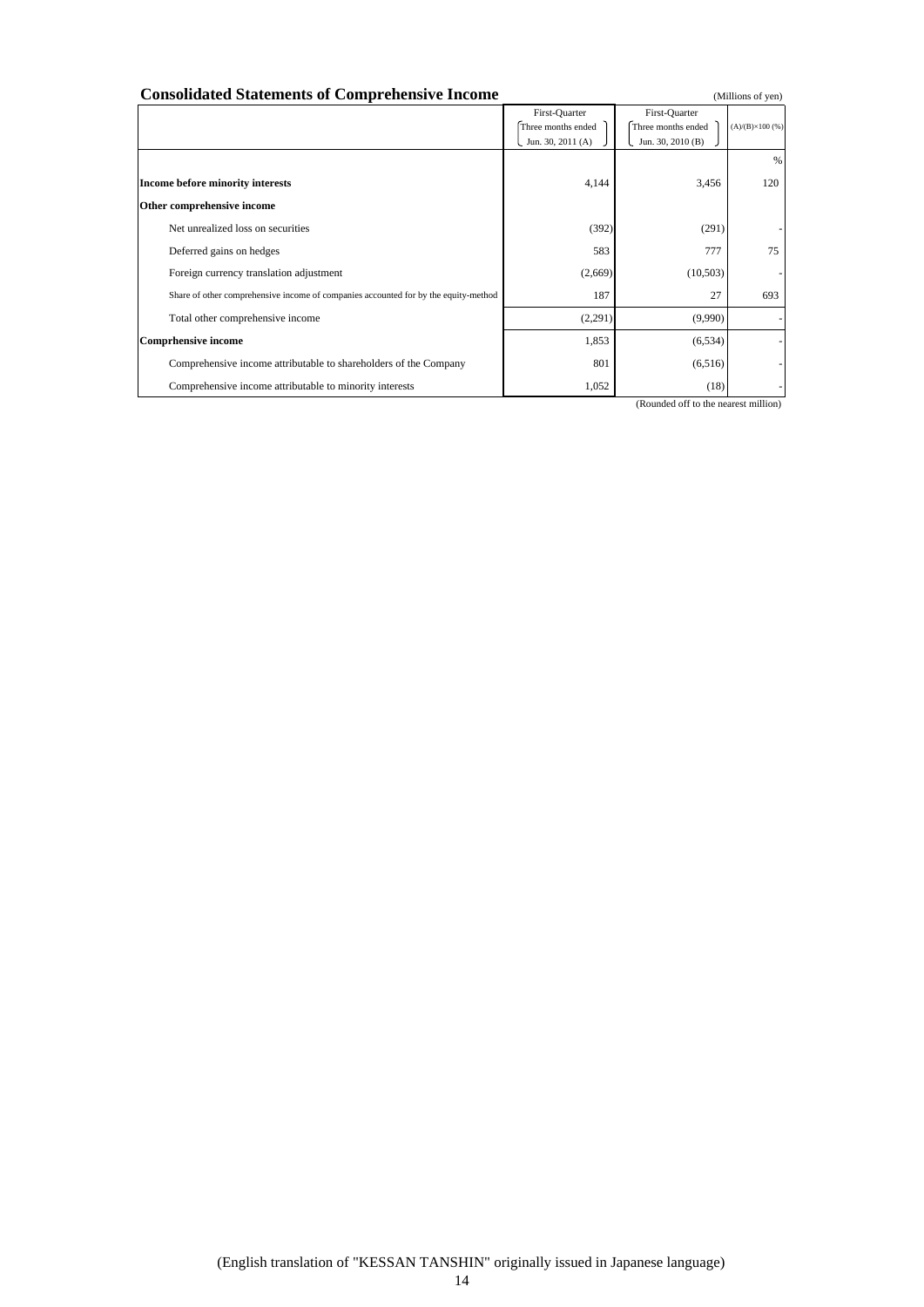| <b>Consolidated Statements of Comprehensive Income</b>                              |                                                          |                                                          | (Millions of yen)       |
|-------------------------------------------------------------------------------------|----------------------------------------------------------|----------------------------------------------------------|-------------------------|
|                                                                                     | First-Quarter<br>Three months ended<br>Jun. 30, 2011 (A) | First-Quarter<br>Three months ended<br>Jun. 30, 2010 (B) | $(A)/(B)\times 100$ (%) |
| Income before minority interests                                                    | 4,144                                                    | 3,456                                                    | %<br>120                |
| Other comprehensive income                                                          |                                                          |                                                          |                         |
| Net unrealized loss on securities                                                   | (392)                                                    | (291)                                                    |                         |
| Deferred gains on hedges                                                            | 583                                                      | 777                                                      | 75                      |
| Foreign currency translation adjustment                                             | (2,669)                                                  | (10, 503)                                                |                         |
| Share of other comprehensive income of companies accounted for by the equity-method | 187                                                      | 27                                                       | 693                     |
| Total other comprehensive income                                                    | (2,291)                                                  | (9,990)                                                  |                         |
| <b>Comprhensive income</b>                                                          | 1,853                                                    | (6, 534)                                                 |                         |
| Comprehensive income attributable to shareholders of the Company                    | 801                                                      | (6,516)                                                  |                         |
| Comprehensive income attributable to minority interests                             | 1,052                                                    | (18)                                                     |                         |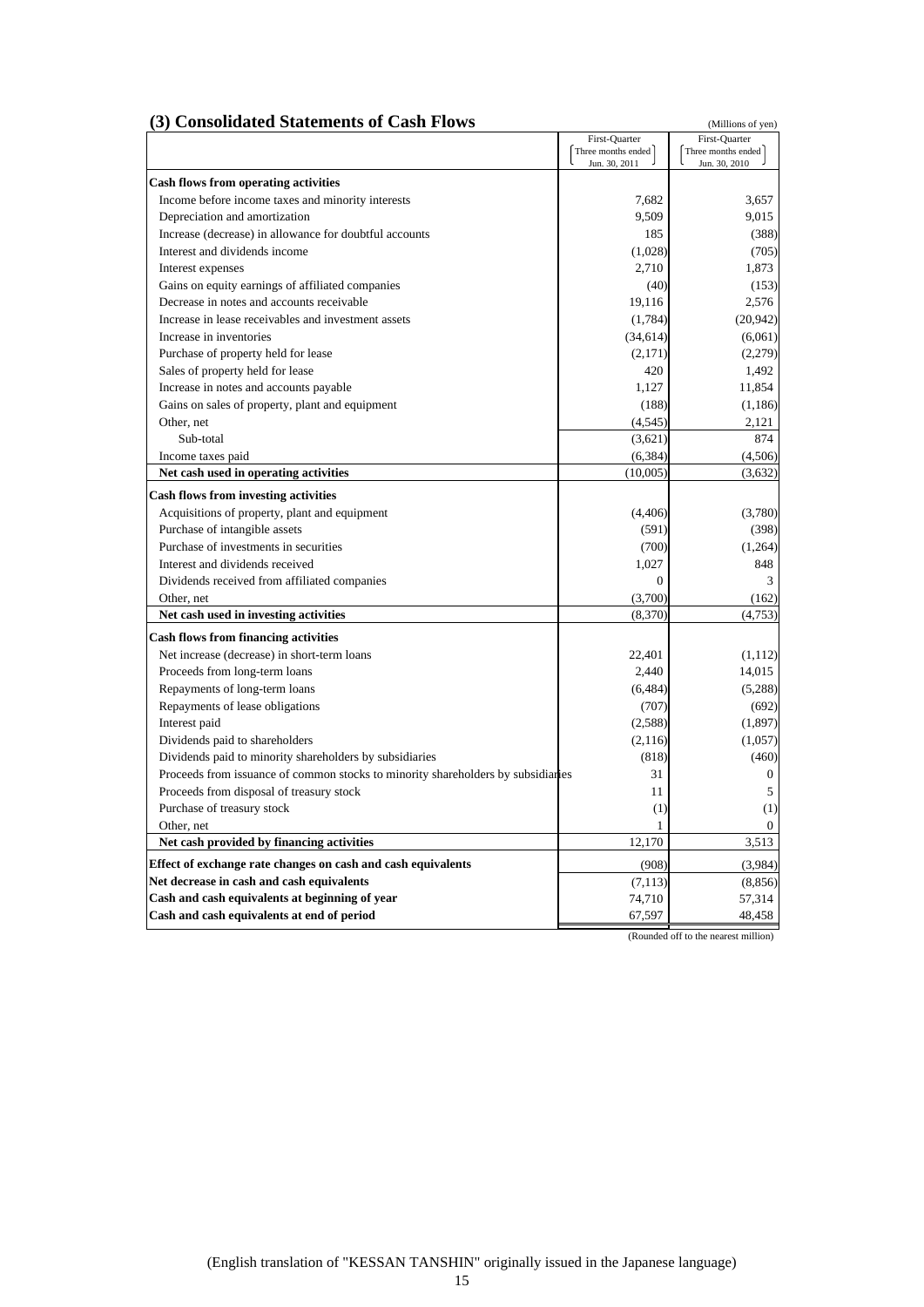#### **(3) Consolidated Statements of Cash Flows** (Millions of yen)

|                                                                                  | First-Quarter      | First-Quarter      |
|----------------------------------------------------------------------------------|--------------------|--------------------|
|                                                                                  | Three months ended | Three months ended |
|                                                                                  | Jun. 30, 2011      | Jun. 30, 2010      |
| <b>Cash flows from operating activities</b>                                      |                    |                    |
| Income before income taxes and minority interests                                | 7,682              | 3,657              |
| Depreciation and amortization                                                    | 9,509              | 9,015              |
| Increase (decrease) in allowance for doubtful accounts                           | 185                | (388)              |
| Interest and dividends income                                                    | (1,028)            | (705)              |
| Interest expenses                                                                | 2,710              | 1,873              |
| Gains on equity earnings of affiliated companies                                 | (40)               | (153)              |
| Decrease in notes and accounts receivable                                        | 19,116             | 2,576              |
| Increase in lease receivables and investment assets                              | (1,784)            | (20, 942)          |
| Increase in inventories                                                          | (34, 614)          | (6,061)            |
| Purchase of property held for lease                                              | (2,171)            | (2,279)            |
| Sales of property held for lease                                                 | 420                | 1,492              |
| Increase in notes and accounts payable                                           | 1,127              | 11,854             |
| Gains on sales of property, plant and equipment                                  | (188)              | (1,186)            |
| Other, net                                                                       | (4, 545)           | 2,121              |
| Sub-total                                                                        | (3,621)            | 874                |
| Income taxes paid                                                                | (6, 384)           | (4,506)            |
| Net cash used in operating activities                                            | (10,005)           | (3,632)            |
| <b>Cash flows from investing activities</b>                                      |                    |                    |
| Acquisitions of property, plant and equipment                                    | (4,406)            | (3,780)            |
| Purchase of intangible assets                                                    | (591)              | (398)              |
| Purchase of investments in securities                                            | (700)              | (1,264)            |
| Interest and dividends received                                                  | 1.027              | 848                |
| Dividends received from affiliated companies                                     | $\mathbf{0}$       | 3                  |
| Other, net                                                                       | (3,700)            | (162)              |
| Net cash used in investing activities                                            | (8,370)            | (4,753)            |
| <b>Cash flows from financing activities</b>                                      |                    |                    |
| Net increase (decrease) in short-term loans                                      | 22,401             | (1, 112)           |
| Proceeds from long-term loans                                                    | 2.440              | 14,015             |
| Repayments of long-term loans                                                    | (6, 484)           | (5,288)            |
| Repayments of lease obligations                                                  | (707)              | (692)              |
| Interest paid                                                                    | (2,588)            | (1, 897)           |
| Dividends paid to shareholders                                                   | (2, 116)           | (1,057)            |
| Dividends paid to minority shareholders by subsidiaries                          | (818)              | (460)              |
| Proceeds from issuance of common stocks to minority shareholders by subsidiaries | 31                 | $\boldsymbol{0}$   |
| Proceeds from disposal of treasury stock                                         | 11                 | 5                  |
| Purchase of treasury stock                                                       | (1)                | (1)                |
| Other, net                                                                       | 1                  | $\mathbf{0}$       |
| Net cash provided by financing activities                                        | 12,170             | 3,513              |
| Effect of exchange rate changes on cash and cash equivalents                     | (908)              | (3,984)            |
| Net decrease in cash and cash equivalents                                        | (7, 113)           | (8, 856)           |
| Cash and cash equivalents at beginning of year                                   | 74,710             | 57,314             |
| Cash and cash equivalents at end of period                                       | 67,597             | 48,458             |